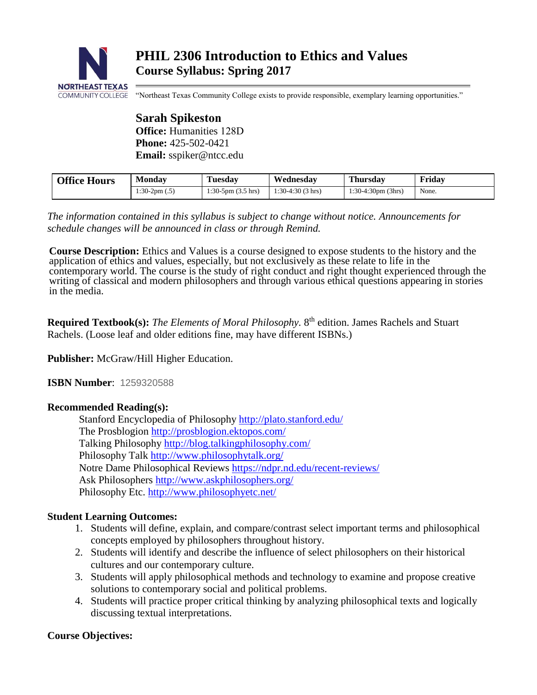

"Northeast Texas Community College exists to provide responsible, exemplary learning opportunities."

**Sarah Spikeston Office:** Humanities 128D **Phone:** 425-502-0421 **Email:** sspiker@ntcc.edu

| <b>Office Hours</b> | Monday          | Tuesdav                         | Wednesdav           | <b>Thursday</b>              | Fridav |
|---------------------|-----------------|---------------------------------|---------------------|------------------------------|--------|
|                     | $1:30-2pm(0.5)$ | $1:30-5$ pm $(3.5 \text{ hrs})$ | $1:30-4:30(3)$ hrs) | $1:30-4:30 \text{pm}$ (3hrs) | None.  |

*The information contained in this syllabus is subject to change without notice. Announcements for schedule changes will be announced in class or through Remind.*

**Course Description:** Ethics and Values is a course designed to expose students to the history and the application of ethics and values, especially, but not exclusively as these relate to life in the contemporary world. The course is the study of right conduct and right thought experienced through the writing of classical and modern philosophers and through various ethical questions appearing in stories in the media.

Required Textbook(s): The Elements of Moral Philosophy. 8<sup>th</sup> edition. James Rachels and Stuart Rachels. (Loose leaf and older editions fine, may have different ISBNs.)

**Publisher:** McGraw/Hill Higher Education.

**ISBN Number**: 1259320588

# **Recommended Reading(s):**

Stanford Encyclopedia of Philosophy<http://plato.stanford.edu/> The Prosblogion<http://prosblogion.ektopos.com/> Talking Philosophy<http://blog.talkingphilosophy.com/> Philosophy Talk<http://www.philosophytalk.org/> Notre Dame Philosophical Reviews <https://ndpr.nd.edu/recent-reviews/> Ask Philosophers<http://www.askphilosophers.org/> Philosophy Etc.<http://www.philosophyetc.net/>

# **Student Learning Outcomes:**

- 1. Students will define, explain, and compare/contrast select important terms and philosophical concepts employed by philosophers throughout history.
- 2. Students will identify and describe the influence of select philosophers on their historical cultures and our contemporary culture.
- 3. Students will apply philosophical methods and technology to examine and propose creative solutions to contemporary social and political problems.
- 4. Students will practice proper critical thinking by analyzing philosophical texts and logically discussing textual interpretations.

## **Course Objectives:**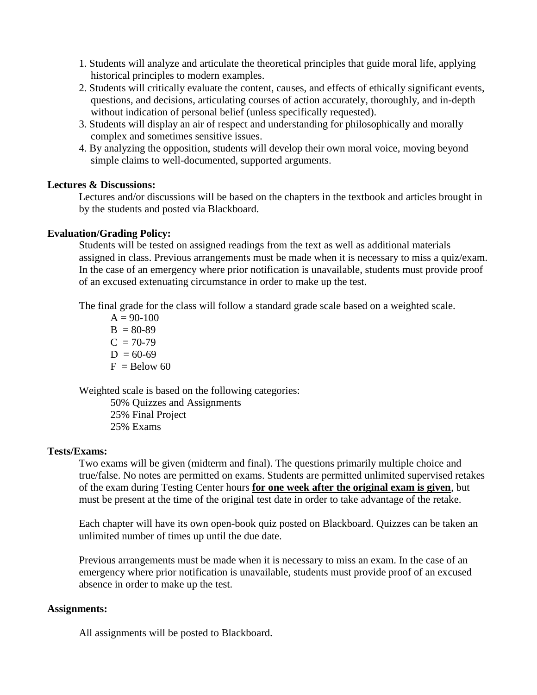- 1. Students will analyze and articulate the theoretical principles that guide moral life, applying historical principles to modern examples.
- 2. Students will critically evaluate the content, causes, and effects of ethically significant events, questions, and decisions, articulating courses of action accurately, thoroughly, and in-depth without indication of personal belief (unless specifically requested).
- 3. Students will display an air of respect and understanding for philosophically and morally complex and sometimes sensitive issues.
- 4. By analyzing the opposition, students will develop their own moral voice, moving beyond simple claims to well-documented, supported arguments.

## **Lectures & Discussions:**

Lectures and/or discussions will be based on the chapters in the textbook and articles brought in by the students and posted via Blackboard.

## **Evaluation/Grading Policy:**

Students will be tested on assigned readings from the text as well as additional materials assigned in class. Previous arrangements must be made when it is necessary to miss a quiz/exam. In the case of an emergency where prior notification is unavailable, students must provide proof of an excused extenuating circumstance in order to make up the test.

The final grade for the class will follow a standard grade scale based on a weighted scale.

 $A = 90-100$  $B = 80-89$  $C = 70-79$  $D = 60-69$  $F =$ Below 60

Weighted scale is based on the following categories:

50% Quizzes and Assignments 25% Final Project 25% Exams

## **Tests/Exams:**

Two exams will be given (midterm and final). The questions primarily multiple choice and true/false. No notes are permitted on exams. Students are permitted unlimited supervised retakes of the exam during Testing Center hours **for one week after the original exam is given**, but must be present at the time of the original test date in order to take advantage of the retake.

Each chapter will have its own open-book quiz posted on Blackboard. Quizzes can be taken an unlimited number of times up until the due date.

Previous arrangements must be made when it is necessary to miss an exam. In the case of an emergency where prior notification is unavailable, students must provide proof of an excused absence in order to make up the test.

## **Assignments:**

All assignments will be posted to Blackboard.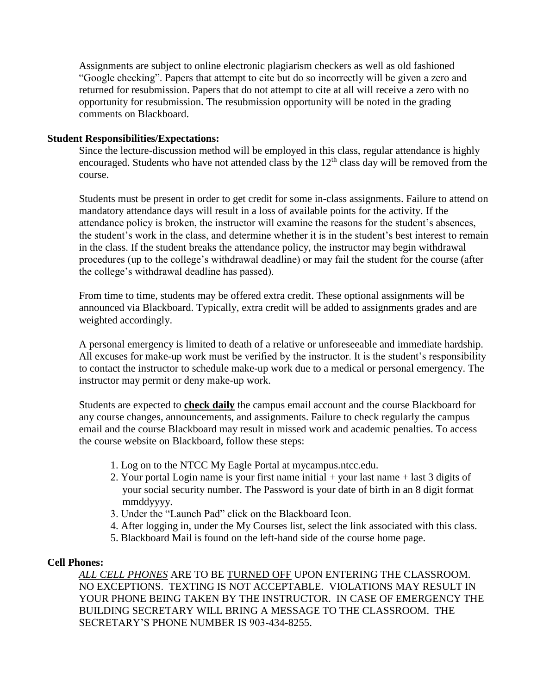Assignments are subject to online electronic plagiarism checkers as well as old fashioned "Google checking". Papers that attempt to cite but do so incorrectly will be given a zero and returned for resubmission. Papers that do not attempt to cite at all will receive a zero with no opportunity for resubmission. The resubmission opportunity will be noted in the grading comments on Blackboard.

#### **Student Responsibilities/Expectations:**

Since the lecture-discussion method will be employed in this class, regular attendance is highly encouraged. Students who have not attended class by the  $12<sup>th</sup>$  class day will be removed from the course.

Students must be present in order to get credit for some in-class assignments. Failure to attend on mandatory attendance days will result in a loss of available points for the activity. If the attendance policy is broken, the instructor will examine the reasons for the student's absences, the student's work in the class, and determine whether it is in the student's best interest to remain in the class. If the student breaks the attendance policy, the instructor may begin withdrawal procedures (up to the college's withdrawal deadline) or may fail the student for the course (after the college's withdrawal deadline has passed).

From time to time, students may be offered extra credit. These optional assignments will be announced via Blackboard. Typically, extra credit will be added to assignments grades and are weighted accordingly.

A personal emergency is limited to death of a relative or unforeseeable and immediate hardship. All excuses for make-up work must be verified by the instructor. It is the student's responsibility to contact the instructor to schedule make-up work due to a medical or personal emergency. The instructor may permit or deny make-up work.

Students are expected to **check daily** the campus email account and the course Blackboard for any course changes, announcements, and assignments. Failure to check regularly the campus email and the course Blackboard may result in missed work and academic penalties. To access the course website on Blackboard, follow these steps:

- 1. Log on to the NTCC My Eagle Portal at mycampus.ntcc.edu.
- 2. Your portal Login name is your first name initial + your last name + last 3 digits of your social security number. The Password is your date of birth in an 8 digit format mmddyyyy.
- 3. Under the "Launch Pad" click on the Blackboard Icon.
- 4. After logging in, under the My Courses list, select the link associated with this class.
- 5. Blackboard Mail is found on the left-hand side of the course home page.

#### **Cell Phones:**

*ALL CELL PHONES* ARE TO BE TURNED OFF UPON ENTERING THE CLASSROOM. NO EXCEPTIONS. TEXTING IS NOT ACCEPTABLE. VIOLATIONS MAY RESULT IN YOUR PHONE BEING TAKEN BY THE INSTRUCTOR. IN CASE OF EMERGENCY THE BUILDING SECRETARY WILL BRING A MESSAGE TO THE CLASSROOM. THE SECRETARY'S PHONE NUMBER IS 903-434-8255.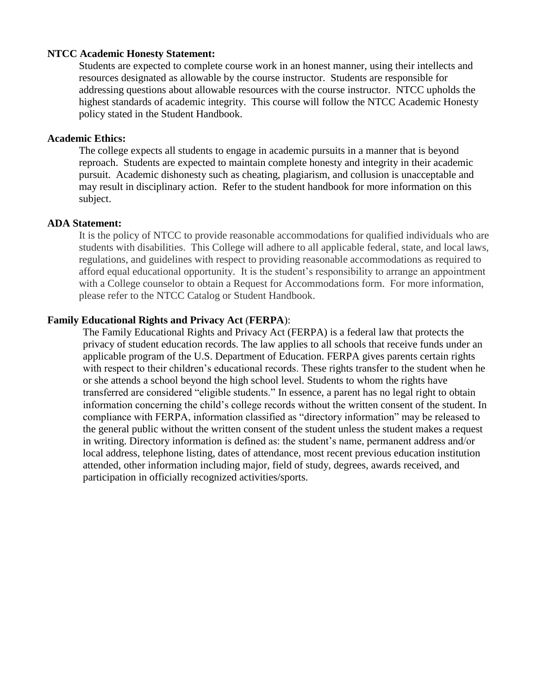#### **NTCC Academic Honesty Statement:**

Students are expected to complete course work in an honest manner, using their intellects and resources designated as allowable by the course instructor. Students are responsible for addressing questions about allowable resources with the course instructor. NTCC upholds the highest standards of academic integrity. This course will follow the NTCC Academic Honesty policy stated in the Student Handbook.

#### **Academic Ethics:**

The college expects all students to engage in academic pursuits in a manner that is beyond reproach. Students are expected to maintain complete honesty and integrity in their academic pursuit. Academic dishonesty such as cheating, plagiarism, and collusion is unacceptable and may result in disciplinary action. Refer to the student handbook for more information on this subject.

#### **ADA Statement:**

It is the policy of NTCC to provide reasonable accommodations for qualified individuals who are students with disabilities. This College will adhere to all applicable federal, state, and local laws, regulations, and guidelines with respect to providing reasonable accommodations as required to afford equal educational opportunity. It is the student's responsibility to arrange an appointment with a College counselor to obtain a Request for Accommodations form. For more information, please refer to the NTCC Catalog or Student Handbook.

#### **Family Educational Rights and Privacy Act** (**FERPA**):

The Family Educational Rights and Privacy Act (FERPA) is a federal law that protects the privacy of student education records. The law applies to all schools that receive funds under an applicable program of the U.S. Department of Education. FERPA gives parents certain rights with respect to their children's educational records. These rights transfer to the student when he or she attends a school beyond the high school level. Students to whom the rights have transferred are considered "eligible students." In essence, a parent has no legal right to obtain information concerning the child's college records without the written consent of the student. In compliance with FERPA, information classified as "directory information" may be released to the general public without the written consent of the student unless the student makes a request in writing. Directory information is defined as: the student's name, permanent address and/or local address, telephone listing, dates of attendance, most recent previous education institution attended, other information including major, field of study, degrees, awards received, and participation in officially recognized activities/sports.